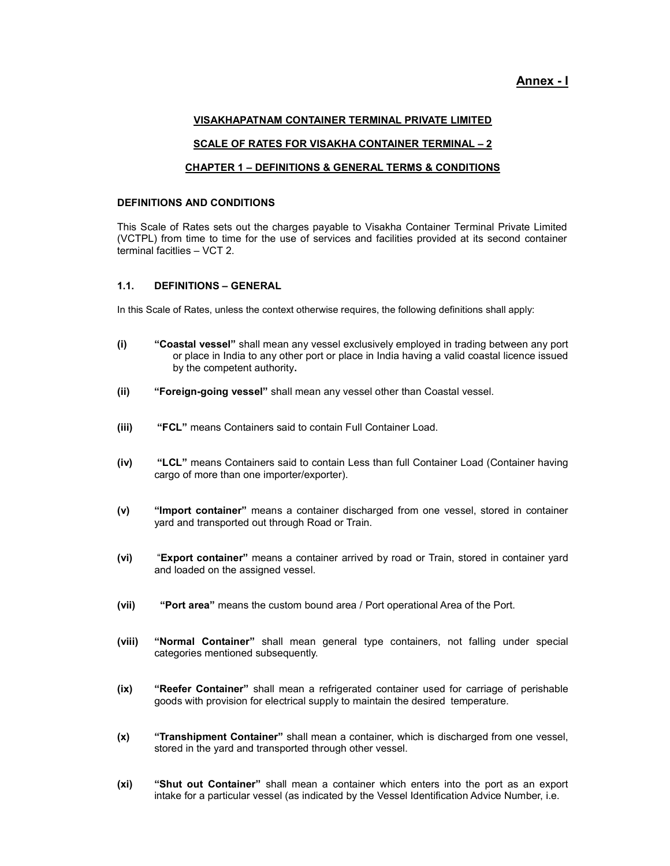## Annex - I

#### VISAKHAPATNAM CONTAINER TERMINAL PRIVATE LIMITED

#### SCALE OF RATES FOR VISAKHA CONTAINER TERMINAL – 2

#### CHAPTER 1 – DEFINITIONS & GENERAL TERMS & CONDITIONS

#### DEFINITIONS AND CONDITIONS

This Scale of Rates sets out the charges payable to Visakha Container Terminal Private Limited (VCTPL) from time to time for the use of services and facilities provided at its second container terminal facitlies – VCT 2.

#### 1.1. DEFINITIONS – GENERAL

In this Scale of Rates, unless the context otherwise requires, the following definitions shall apply:

- (i) "Coastal vessel" shall mean any vessel exclusively employed in trading between any port or place in India to any other port or place in India having a valid coastal licence issued by the competent authority.
- (ii) "Foreign-going vessel" shall mean any vessel other than Coastal vessel.
- (iii) "FCL" means Containers said to contain Full Container Load.
- (iv) "LCL" means Containers said to contain Less than full Container Load (Container having cargo of more than one importer/exporter).
- (v) "Import container" means a container discharged from one vessel, stored in container yard and transported out through Road or Train.
- (vi) "Export container" means a container arrived by road or Train, stored in container yard and loaded on the assigned vessel.
- (vii) "Port area" means the custom bound area / Port operational Area of the Port.
- (viii) "Normal Container" shall mean general type containers, not falling under special categories mentioned subsequently.
- (ix) "Reefer Container" shall mean a refrigerated container used for carriage of perishable goods with provision for electrical supply to maintain the desired temperature.
- (x) "Transhipment Container" shall mean a container, which is discharged from one vessel, stored in the yard and transported through other vessel.
- (xi) "Shut out Container" shall mean a container which enters into the port as an export intake for a particular vessel (as indicated by the Vessel Identification Advice Number, i.e.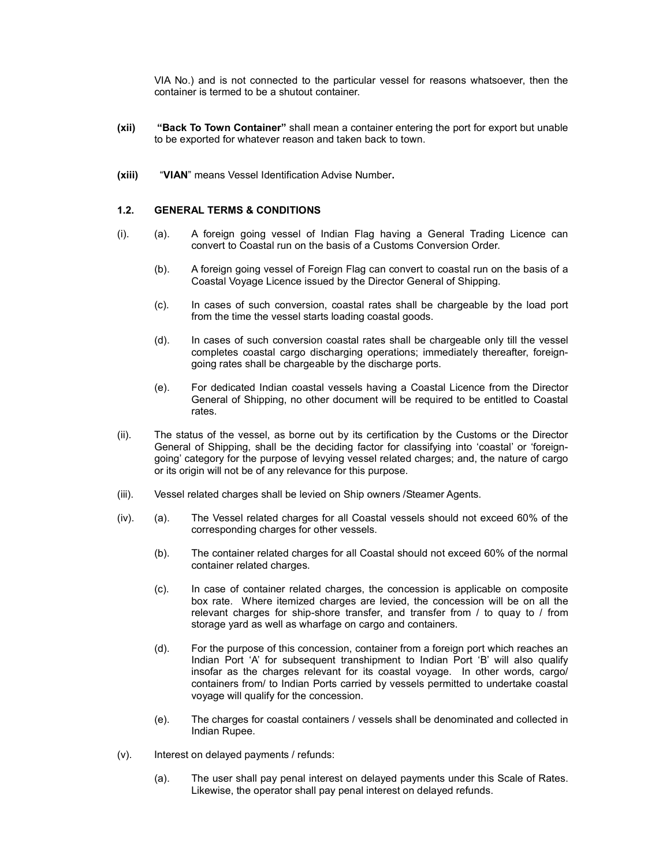VIA No.) and is not connected to the particular vessel for reasons whatsoever, then the container is termed to be a shutout container.

- (xii) "Back To Town Container" shall mean a container entering the port for export but unable to be exported for whatever reason and taken back to town.
- (xiii) "VIAN" means Vessel Identification Advise Number.

#### 1.2. GENERAL TERMS & CONDITIONS

- (i). (a). A foreign going vessel of Indian Flag having a General Trading Licence can convert to Coastal run on the basis of a Customs Conversion Order.
	- (b). A foreign going vessel of Foreign Flag can convert to coastal run on the basis of a Coastal Voyage Licence issued by the Director General of Shipping.
	- (c). In cases of such conversion, coastal rates shall be chargeable by the load port from the time the vessel starts loading coastal goods.
	- (d). In cases of such conversion coastal rates shall be chargeable only till the vessel completes coastal cargo discharging operations; immediately thereafter, foreigngoing rates shall be chargeable by the discharge ports.
	- (e). For dedicated Indian coastal vessels having a Coastal Licence from the Director General of Shipping, no other document will be required to be entitled to Coastal rates.
- (ii). The status of the vessel, as borne out by its certification by the Customs or the Director General of Shipping, shall be the deciding factor for classifying into 'coastal' or 'foreigngoing' category for the purpose of levying vessel related charges; and, the nature of cargo or its origin will not be of any relevance for this purpose.
- (iii). Vessel related charges shall be levied on Ship owners /Steamer Agents.
- (iv). (a). The Vessel related charges for all Coastal vessels should not exceed 60% of the corresponding charges for other vessels.
	- (b). The container related charges for all Coastal should not exceed 60% of the normal container related charges.
	- (c). In case of container related charges, the concession is applicable on composite box rate. Where itemized charges are levied, the concession will be on all the relevant charges for ship-shore transfer, and transfer from / to quay to / from storage yard as well as wharfage on cargo and containers.
	- (d). For the purpose of this concession, container from a foreign port which reaches an Indian Port 'A' for subsequent transhipment to Indian Port 'B' will also qualify insofar as the charges relevant for its coastal voyage. In other words, cargo/ containers from/ to Indian Ports carried by vessels permitted to undertake coastal voyage will qualify for the concession.
	- (e). The charges for coastal containers / vessels shall be denominated and collected in Indian Rupee.
- (v). Interest on delayed payments / refunds:
	- (a). The user shall pay penal interest on delayed payments under this Scale of Rates. Likewise, the operator shall pay penal interest on delayed refunds.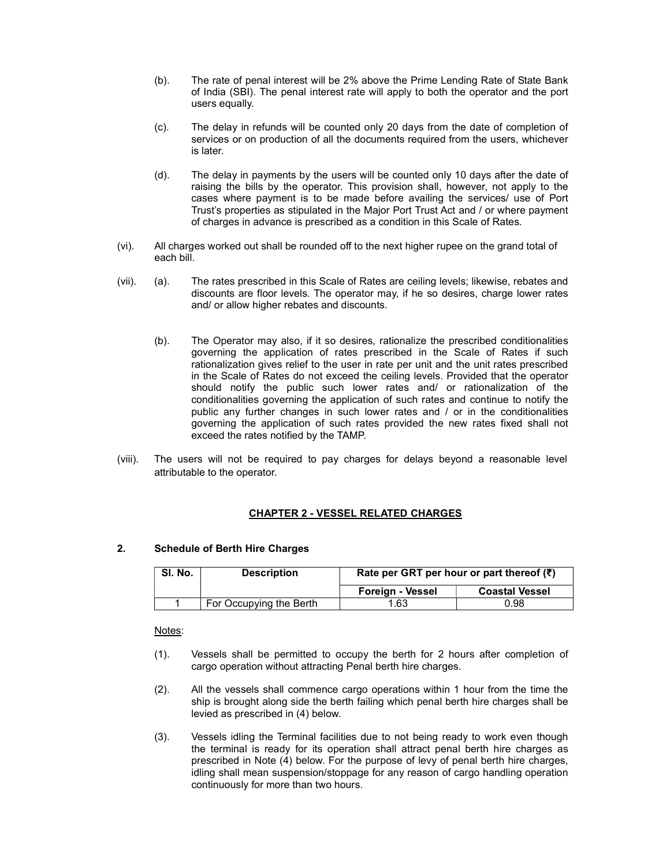- (b). The rate of penal interest will be 2% above the Prime Lending Rate of State Bank of India (SBI). The penal interest rate will apply to both the operator and the port users equally.
- (c). The delay in refunds will be counted only 20 days from the date of completion of services or on production of all the documents required from the users, whichever is later.
- (d). The delay in payments by the users will be counted only 10 days after the date of raising the bills by the operator. This provision shall, however, not apply to the cases where payment is to be made before availing the services/ use of Port Trust's properties as stipulated in the Major Port Trust Act and / or where payment of charges in advance is prescribed as a condition in this Scale of Rates.
- (vi). All charges worked out shall be rounded off to the next higher rupee on the grand total of each bill.
- (vii). (a). The rates prescribed in this Scale of Rates are ceiling levels; likewise, rebates and discounts are floor levels. The operator may, if he so desires, charge lower rates and/ or allow higher rebates and discounts.
	- (b). The Operator may also, if it so desires, rationalize the prescribed conditionalities governing the application of rates prescribed in the Scale of Rates if such rationalization gives relief to the user in rate per unit and the unit rates prescribed in the Scale of Rates do not exceed the ceiling levels. Provided that the operator should notify the public such lower rates and/ or rationalization of the conditionalities governing the application of such rates and continue to notify the public any further changes in such lower rates and / or in the conditionalities governing the application of such rates provided the new rates fixed shall not exceed the rates notified by the TAMP.
- (viii). The users will not be required to pay charges for delays beyond a reasonable level attributable to the operator.

## CHAPTER 2 - VESSEL RELATED CHARGES

#### 2. Schedule of Berth Hire Charges

| SI. No. | <b>Description</b>      | Rate per GRT per hour or part thereof $(\bar{\tau})$ |                       |  |
|---------|-------------------------|------------------------------------------------------|-----------------------|--|
|         |                         | Foreign - Vessel                                     | <b>Coastal Vessel</b> |  |
|         | For Occupying the Berth | 1.63                                                 | 0.98                  |  |

Notes:

- (1). Vessels shall be permitted to occupy the berth for 2 hours after completion of cargo operation without attracting Penal berth hire charges.
- (2). All the vessels shall commence cargo operations within 1 hour from the time the ship is brought along side the berth failing which penal berth hire charges shall be levied as prescribed in (4) below.
- (3). Vessels idling the Terminal facilities due to not being ready to work even though the terminal is ready for its operation shall attract penal berth hire charges as prescribed in Note (4) below. For the purpose of levy of penal berth hire charges, idling shall mean suspension/stoppage for any reason of cargo handling operation continuously for more than two hours.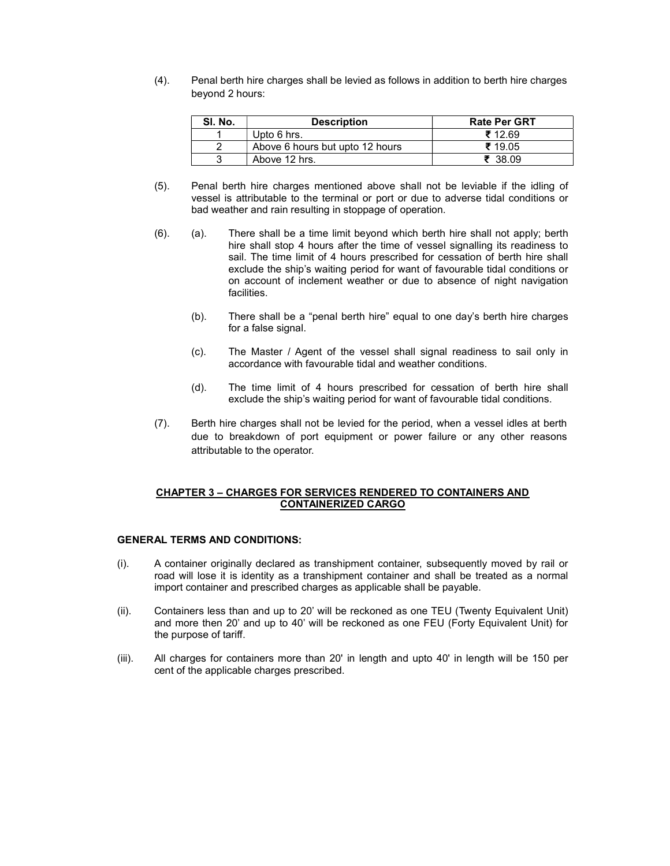(4). Penal berth hire charges shall be levied as follows in addition to berth hire charges beyond 2 hours:

| SI. No. | <b>Description</b>              | <b>Rate Per GRT</b> |
|---------|---------------------------------|---------------------|
|         | Upto 6 hrs.                     | ₹12.69              |
|         | Above 6 hours but upto 12 hours | ₹ 19.05             |
|         | Above 12 hrs.                   | 7.3809              |

- (5). Penal berth hire charges mentioned above shall not be leviable if the idling of vessel is attributable to the terminal or port or due to adverse tidal conditions or bad weather and rain resulting in stoppage of operation.
- (6). (a). There shall be a time limit beyond which berth hire shall not apply; berth hire shall stop 4 hours after the time of vessel signalling its readiness to sail. The time limit of 4 hours prescribed for cessation of berth hire shall exclude the ship's waiting period for want of favourable tidal conditions or on account of inclement weather or due to absence of night navigation facilities.
	- (b). There shall be a "penal berth hire" equal to one day's berth hire charges for a false signal.
	- (c). The Master / Agent of the vessel shall signal readiness to sail only in accordance with favourable tidal and weather conditions.
	- (d). The time limit of 4 hours prescribed for cessation of berth hire shall exclude the ship's waiting period for want of favourable tidal conditions.
- (7). Berth hire charges shall not be levied for the period, when a vessel idles at berth due to breakdown of port equipment or power failure or any other reasons attributable to the operator.

#### CHAPTER 3 – CHARGES FOR SERVICES RENDERED TO CONTAINERS AND CONTAINERIZED CARGO

#### GENERAL TERMS AND CONDITIONS:

- (i). A container originally declared as transhipment container, subsequently moved by rail or road will lose it is identity as a transhipment container and shall be treated as a normal import container and prescribed charges as applicable shall be payable.
- (ii). Containers less than and up to 20' will be reckoned as one TEU (Twenty Equivalent Unit) and more then 20' and up to 40' will be reckoned as one FEU (Forty Equivalent Unit) for the purpose of tariff.
- (iii). All charges for containers more than 20' in length and upto 40' in length will be 150 per cent of the applicable charges prescribed.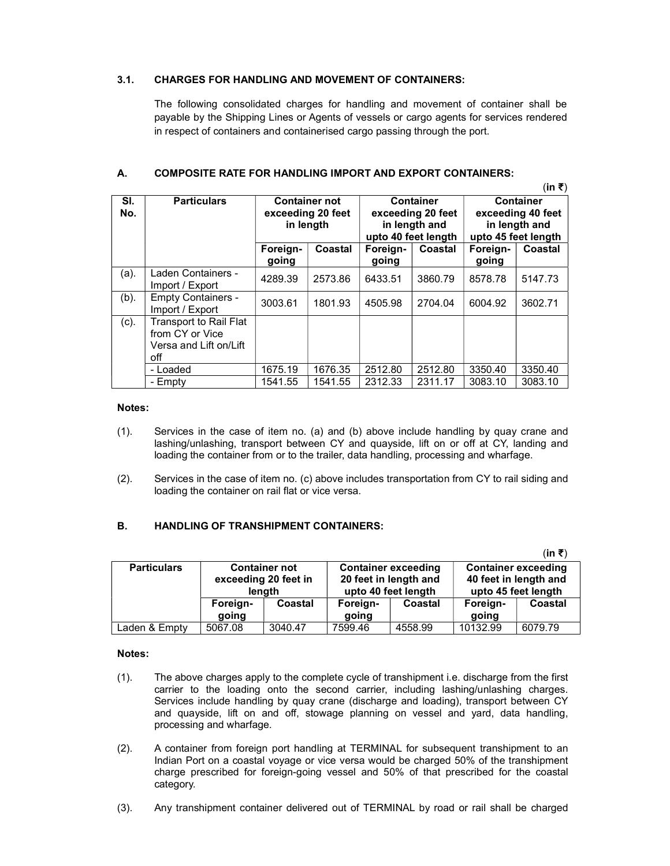## 3.1. CHARGES FOR HANDLING AND MOVEMENT OF CONTAINERS:

The following consolidated charges for handling and movement of container shall be payable by the Shipping Lines or Agents of vessels or cargo agents for services rendered in respect of containers and containerised cargo passing through the port.

 $\lambda$ <sub>i</sub>  $\lambda$ 

|            | (IN ₹)                                                                            |                                                        |         |                                                                               |         |                                                                               |         |
|------------|-----------------------------------------------------------------------------------|--------------------------------------------------------|---------|-------------------------------------------------------------------------------|---------|-------------------------------------------------------------------------------|---------|
| SI.<br>No. | <b>Particulars</b>                                                                | <b>Container not</b><br>exceeding 20 feet<br>in length |         | <b>Container</b><br>exceeding 20 feet<br>in length and<br>upto 40 feet length |         | <b>Container</b><br>exceeding 40 feet<br>in length and<br>upto 45 feet length |         |
|            |                                                                                   | Foreign-<br>going                                      | Coastal | Foreign-<br>going                                                             | Coastal | Foreign-<br>going                                                             | Coastal |
| (a).       | Laden Containers -<br>Import / Export                                             | 4289.39                                                | 2573.86 | 6433.51                                                                       | 3860.79 | 8578.78                                                                       | 5147.73 |
| $(b)$ .    | <b>Empty Containers -</b><br>Import / Export                                      | 3003.61                                                | 1801.93 | 4505.98                                                                       | 2704.04 | 6004.92                                                                       | 3602.71 |
| (c).       | <b>Transport to Rail Flat</b><br>from CY or Vice<br>Versa and Lift on/Lift<br>off |                                                        |         |                                                                               |         |                                                                               |         |
|            | - Loaded                                                                          | 1675.19                                                | 1676.35 | 2512.80                                                                       | 2512.80 | 3350.40                                                                       | 3350.40 |
|            | - Empty                                                                           | 1541.55                                                | 1541.55 | 2312.33                                                                       | 2311.17 | 3083.10                                                                       | 3083.10 |

#### A. COMPOSITE RATE FOR HANDLING IMPORT AND EXPORT CONTAINERS:

#### Notes:

- (1). Services in the case of item no. (a) and (b) above include handling by quay crane and lashing/unlashing, transport between CY and quayside, lift on or off at CY, landing and loading the container from or to the trailer, data handling, processing and wharfage.
- (2). Services in the case of item no. (c) above includes transportation from CY to rail siding and loading the container on rail flat or vice versa.

## B. HANDLING OF TRANSHIPMENT CONTAINERS:

|                    |                      |         |                       |                            |                       | $(in \; \overline{\mathbf{z}})$ |  |
|--------------------|----------------------|---------|-----------------------|----------------------------|-----------------------|---------------------------------|--|
| <b>Particulars</b> | <b>Container not</b> |         |                       | <b>Container exceeding</b> |                       | <b>Container exceeding</b>      |  |
|                    | exceeding 20 feet in |         | 20 feet in length and |                            | 40 feet in length and |                                 |  |
|                    | lenath               |         | upto 40 feet length   |                            | upto 45 feet length   |                                 |  |
|                    | Foreign-             | Coastal | Foreign-              | Coastal                    | Foreign-              | Coastal                         |  |
|                    | going                |         | going                 |                            | going                 |                                 |  |
| Laden & Empty      | 5067.08              | 3040.47 | 7599.46               | 4558.99                    | 10132.99              | 6079.79                         |  |

#### Notes:

- (1). The above charges apply to the complete cycle of transhipment i.e. discharge from the first carrier to the loading onto the second carrier, including lashing/unlashing charges. Services include handling by quay crane (discharge and loading), transport between CY and quayside, lift on and off, stowage planning on vessel and yard, data handling, processing and wharfage.
- (2). A container from foreign port handling at TERMINAL for subsequent transhipment to an Indian Port on a coastal voyage or vice versa would be charged 50% of the transhipment charge prescribed for foreign-going vessel and 50% of that prescribed for the coastal category.
- (3). Any transhipment container delivered out of TERMINAL by road or rail shall be charged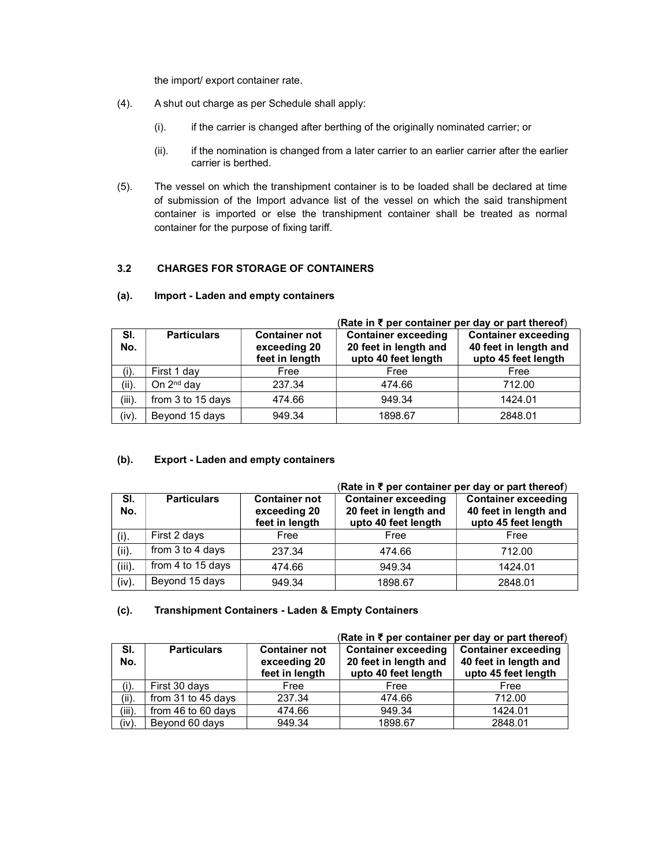the import/ export container rate.

- (4). A shut out charge as per Schedule shall apply:
	- (i). if the carrier is changed after berthing of the originally nominated carrier; or
	- (ii). if the nomination is changed from a later carrier to an earlier carrier after the earlier carrier is berthed.
- (5). The vessel on which the transhipment container is to be loaded shall be declared at time of submission of the Import advance list of the vessel on which the said transhipment container is imported or else the transhipment container shall be treated as normal container for the purpose of fixing tariff.

## 3.2 CHARGES FOR STORAGE OF CONTAINERS

|            |                        |                                                        | (Rate in $\overline{\epsilon}$ per container per day or part thereof)      |                                                                            |  |  |
|------------|------------------------|--------------------------------------------------------|----------------------------------------------------------------------------|----------------------------------------------------------------------------|--|--|
| SI.<br>No. | <b>Particulars</b>     | <b>Container not</b><br>exceeding 20<br>feet in length | <b>Container exceeding</b><br>20 feet in length and<br>upto 40 feet length | <b>Container exceeding</b><br>40 feet in length and<br>upto 45 feet length |  |  |
| (i).       | First 1 day            | Free                                                   | Free                                                                       | Free                                                                       |  |  |
| (ii).      | On 2 <sup>nd</sup> day | 237.34                                                 | 474.66                                                                     | 712.00                                                                     |  |  |
| $(iii)$ .  | from 3 to 15 days      | 474.66                                                 | 949.34                                                                     | 1424.01                                                                    |  |  |
| (iv).      | Beyond 15 days         | 949.34                                                 | 1898.67                                                                    | 2848.01                                                                    |  |  |

## (a). Import - Laden and empty containers

## (b). Export - Laden and empty containers

|            |                    |                                                        | Rate in $\bar{\tau}$ per container per day or part thereof)                |                                                                            |  |  |
|------------|--------------------|--------------------------------------------------------|----------------------------------------------------------------------------|----------------------------------------------------------------------------|--|--|
| SI.<br>No. | <b>Particulars</b> | <b>Container not</b><br>exceeding 20<br>feet in length | <b>Container exceeding</b><br>20 feet in length and<br>upto 40 feet length | <b>Container exceeding</b><br>40 feet in length and<br>upto 45 feet length |  |  |
| (i).       | First 2 days       | Free                                                   | Free                                                                       | Free                                                                       |  |  |
| (ii).      | from 3 to 4 days   | 237.34                                                 | 474.66                                                                     | 712.00                                                                     |  |  |
| (iii).     | from 4 to 15 days  | 474.66                                                 | 949.34                                                                     | 1424.01                                                                    |  |  |
| (iv).      | Beyond 15 days     | 949.34                                                 | 1898.67                                                                    | 2848.01                                                                    |  |  |

## (c). Transhipment Containers - Laden & Empty Containers

|            |                    |                                                        | (Rate in ₹ per container per day or part thereof)                          |                                                                            |  |  |
|------------|--------------------|--------------------------------------------------------|----------------------------------------------------------------------------|----------------------------------------------------------------------------|--|--|
| SI.<br>No. | <b>Particulars</b> | <b>Container not</b><br>exceeding 20<br>feet in length | <b>Container exceeding</b><br>20 feet in length and<br>upto 40 feet length | <b>Container exceeding</b><br>40 feet in length and<br>upto 45 feet length |  |  |
| (i).       | First 30 days      | Free                                                   | Free                                                                       | Free                                                                       |  |  |
| (ii).      | from 31 to 45 days | 237.34                                                 | 474.66                                                                     | 712.00                                                                     |  |  |
| $(iii)$ .  | from 46 to 60 days | 474.66                                                 | 949.34                                                                     | 1424.01                                                                    |  |  |
| $(iv)$ .   | Beyond 60 days     | 949.34                                                 | 1898.67                                                                    | 2848.01                                                                    |  |  |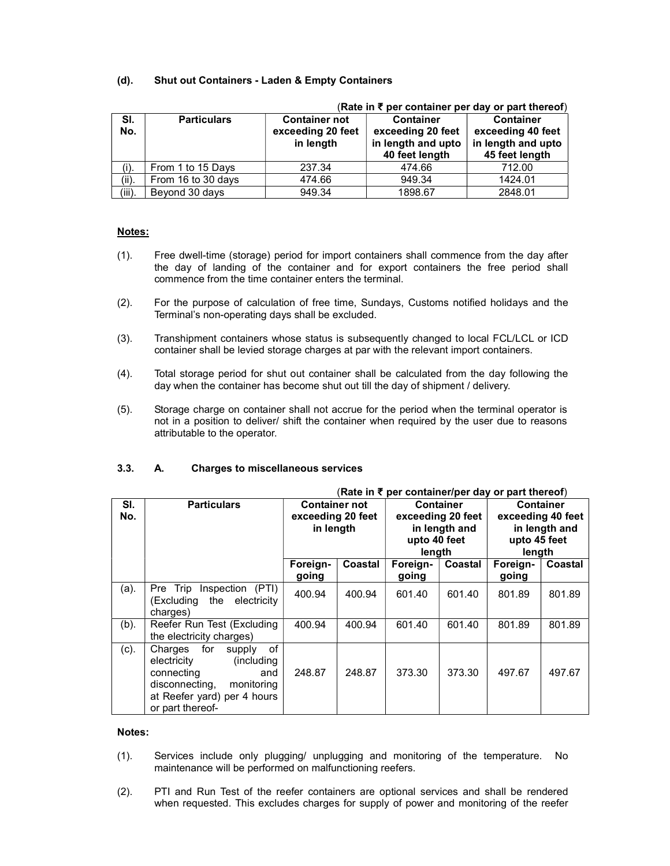## (d). Shut out Containers - Laden & Empty Containers

|            |                    | (Rate in ₹ per container per day or part thereof)      |                                                                               |                                                                               |  |  |
|------------|--------------------|--------------------------------------------------------|-------------------------------------------------------------------------------|-------------------------------------------------------------------------------|--|--|
| SI.<br>No. | <b>Particulars</b> | <b>Container not</b><br>exceeding 20 feet<br>in length | <b>Container</b><br>exceeding 20 feet<br>in length and upto<br>40 feet length | <b>Container</b><br>exceeding 40 feet<br>in length and upto<br>45 feet length |  |  |
| (i).       | From 1 to 15 Days  | 237.34                                                 | 474.66                                                                        | 712.00                                                                        |  |  |
| (ii)       | From 16 to 30 days | 474.66                                                 | 949.34                                                                        | 1424.01                                                                       |  |  |
| $(iii)$ .  | Beyond 30 days     | 949.34                                                 | 1898.67                                                                       | 2848.01                                                                       |  |  |

#### Notes:

- (1). Free dwell-time (storage) period for import containers shall commence from the day after the day of landing of the container and for export containers the free period shall commence from the time container enters the terminal.
- (2). For the purpose of calculation of free time, Sundays, Customs notified holidays and the Terminal's non-operating days shall be excluded.
- (3). Transhipment containers whose status is subsequently changed to local FCL/LCL or ICD container shall be levied storage charges at par with the relevant import containers.
- (4). Total storage period for shut out container shall be calculated from the day following the day when the container has become shut out till the day of shipment / delivery.
- (5). Storage charge on container shall not accrue for the period when the terminal operator is not in a position to deliver/ shift the container when required by the user due to reasons attributable to the operator.

|            | (Rate in ₹ per container/per day or part thereof)                                                                                                                 |                                                        |         |                        |                                                 |                                                                 |               |
|------------|-------------------------------------------------------------------------------------------------------------------------------------------------------------------|--------------------------------------------------------|---------|------------------------|-------------------------------------------------|-----------------------------------------------------------------|---------------|
| SI.<br>No. | <b>Particulars</b>                                                                                                                                                | <b>Container not</b><br>exceeding 20 feet<br>in length |         | upto 40 feet<br>length | Container<br>exceeding 20 feet<br>in length and | <b>Container</b><br>exceeding 40 feet<br>upto 45 feet<br>length | in length and |
|            |                                                                                                                                                                   | Foreign-<br>going                                      | Coastal | Foreign-<br>going      | Coastal                                         | Foreign-<br>going                                               | Coastal       |
| (a).       | Pre Trip Inspection (PTI)<br>(Excluding the electricity<br>charges)                                                                                               | 400.94                                                 | 400.94  | 601.40                 | 601.40                                          | 801.89                                                          | 801.89        |
| $(b)$ .    | Reefer Run Test (Excluding<br>the electricity charges)                                                                                                            | 400.94                                                 | 400.94  | 601.40                 | 601.40                                          | 801.89                                                          | 801.89        |
| $(c)$ .    | Charges for<br>0f<br>supply<br>electricity<br>(including)<br>connecting<br>and<br>disconnecting,<br>monitoring<br>at Reefer yard) per 4 hours<br>or part thereof- | 248.87                                                 | 248.87  | 373.30                 | 373.30                                          | 497.67                                                          | 497.67        |

#### 3.3. A. Charges to miscellaneous services

#### Notes:

- (1). Services include only plugging/ unplugging and monitoring of the temperature. No maintenance will be performed on malfunctioning reefers.
- (2). PTI and Run Test of the reefer containers are optional services and shall be rendered when requested. This excludes charges for supply of power and monitoring of the reefer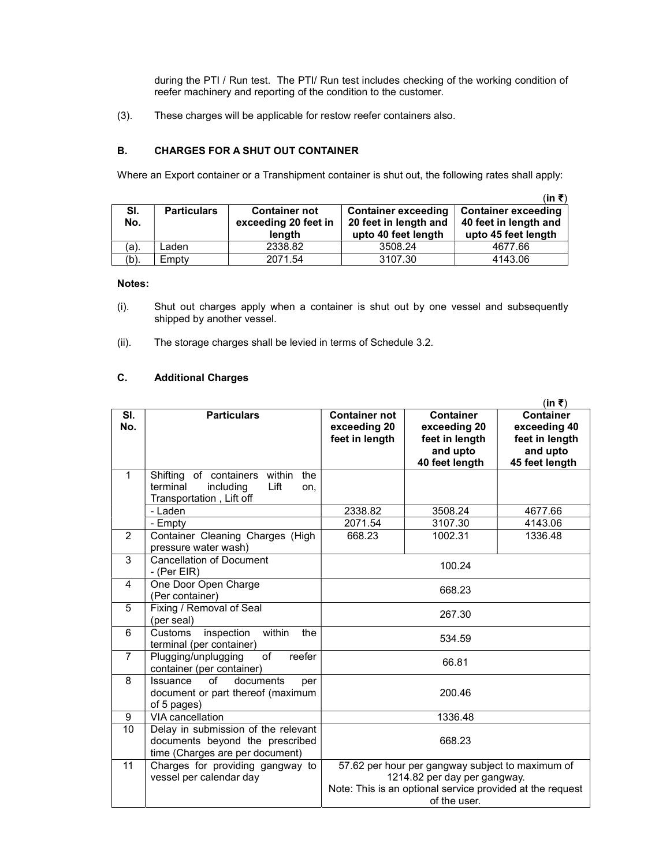during the PTI / Run test. The PTI/ Run test includes checking of the working condition of reefer machinery and reporting of the condition to the customer.

(3). These charges will be applicable for restow reefer containers also.

#### B. CHARGES FOR A SHUT OUT CONTAINER

Where an Export container or a Transhipment container is shut out, the following rates shall apply:

|            |                    |                                                        |                                                                            | (in ₹)                                                                     |
|------------|--------------------|--------------------------------------------------------|----------------------------------------------------------------------------|----------------------------------------------------------------------------|
| SI.<br>No. | <b>Particulars</b> | <b>Container not</b><br>exceeding 20 feet in<br>length | <b>Container exceeding</b><br>20 feet in length and<br>upto 40 feet length | <b>Container exceeding</b><br>40 feet in length and<br>upto 45 feet length |
| (a).       | Laden              | 2338.82                                                | 3508.24                                                                    | 4677.66                                                                    |
| (b).       | Empty              | 2071.54                                                | 3107.30                                                                    | 4143.06                                                                    |

#### Notes:

- (i). Shut out charges apply when a container is shut out by one vessel and subsequently shipped by another vessel.
- (ii). The storage charges shall be levied in terms of Schedule 3.2.

## C. Additional Charges

|                |                                                                                                             |                                                        |                                                                                                                                                               | (in ₹)                                                                           |
|----------------|-------------------------------------------------------------------------------------------------------------|--------------------------------------------------------|---------------------------------------------------------------------------------------------------------------------------------------------------------------|----------------------------------------------------------------------------------|
| SI.<br>No.     | <b>Particulars</b>                                                                                          | <b>Container not</b><br>exceeding 20<br>feet in length | <b>Container</b><br>exceeding 20<br>feet in length<br>and upto<br>40 feet length                                                                              | <b>Container</b><br>exceeding 40<br>feet in length<br>and upto<br>45 feet length |
| 1              | within<br>Shifting of containers<br>the<br>terminal<br>including<br>Lift<br>on,<br>Transportation, Lift off |                                                        |                                                                                                                                                               |                                                                                  |
|                | - Laden                                                                                                     | 2338.82                                                | 3508.24                                                                                                                                                       | 4677.66                                                                          |
|                | - Empty                                                                                                     | 2071.54                                                | 3107.30                                                                                                                                                       | 4143.06                                                                          |
| 2              | Container Cleaning Charges (High<br>pressure water wash)                                                    | 668.23                                                 | 1002.31                                                                                                                                                       | 1336.48                                                                          |
| 3              | <b>Cancellation of Document</b><br>- (Per EIR)                                                              |                                                        | 100.24                                                                                                                                                        |                                                                                  |
| 4              | One Door Open Charge<br>(Per container)                                                                     |                                                        | 668.23                                                                                                                                                        |                                                                                  |
| 5              | Fixing / Removal of Seal<br>(per seal)                                                                      |                                                        | 267.30                                                                                                                                                        |                                                                                  |
| 6              | within<br>inspection<br><b>Customs</b><br>the<br>terminal (per container)                                   |                                                        | 534.59                                                                                                                                                        |                                                                                  |
| $\overline{7}$ | of<br>reefer<br>Plugging/unplugging<br>container (per container)                                            |                                                        | 66.81                                                                                                                                                         |                                                                                  |
| 8              | $\sigma$ f<br>documents<br>Issuance<br>per<br>document or part thereof (maximum<br>of 5 pages)              | 200.46                                                 |                                                                                                                                                               |                                                                                  |
| 9              | VIA cancellation                                                                                            |                                                        | 1336.48                                                                                                                                                       |                                                                                  |
| 10             | Delay in submission of the relevant<br>documents beyond the prescribed<br>time (Charges are per document)   | 668.23                                                 |                                                                                                                                                               |                                                                                  |
| 11             | Charges for providing gangway to<br>vessel per calendar day                                                 |                                                        | 57.62 per hour per gangway subject to maximum of<br>1214.82 per day per gangway.<br>Note: This is an optional service provided at the request<br>of the user. |                                                                                  |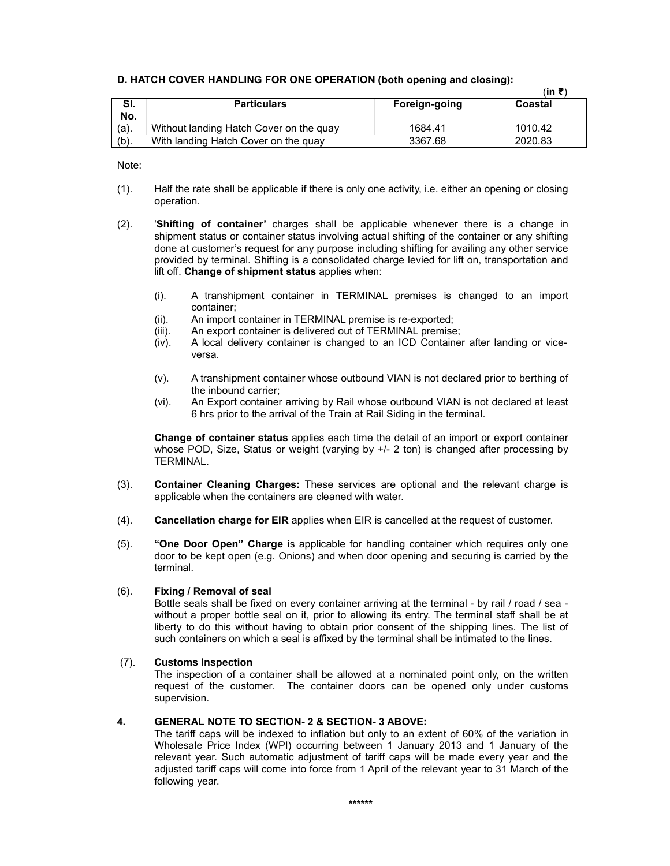|         |                                         |               | (in ₹`  |
|---------|-----------------------------------------|---------------|---------|
| SI.     | <b>Particulars</b>                      | Foreign-going | Coastal |
| No.     |                                         |               |         |
| $(a)$ . | Without landing Hatch Cover on the guay | 1684.41       | 1010.42 |
| $(b)$ . | With landing Hatch Cover on the quay    | 3367.68       | 2020.83 |

#### D. HATCH COVER HANDLING FOR ONE OPERATION (both opening and closing):

Note:

- (1). Half the rate shall be applicable if there is only one activity, i.e. either an opening or closing operation.
- (2). 'Shifting of container' charges shall be applicable whenever there is a change in shipment status or container status involving actual shifting of the container or any shifting done at customer's request for any purpose including shifting for availing any other service provided by terminal. Shifting is a consolidated charge levied for lift on, transportation and lift off. Change of shipment status applies when:
	- (i). A transhipment container in TERMINAL premises is changed to an import container;
	- (ii). An import container in TERMINAL premise is re-exported;
	- (iii). An export container is delivered out of TERMINAL premise;
	- (iv). A local delivery container is changed to an ICD Container after landing or viceversa.
	- (v). A transhipment container whose outbound VIAN is not declared prior to berthing of the inbound carrier;
	- (vi). An Export container arriving by Rail whose outbound VIAN is not declared at least 6 hrs prior to the arrival of the Train at Rail Siding in the terminal.

Change of container status applies each time the detail of an import or export container whose POD, Size, Status or weight (varying by  $+/- 2$  ton) is changed after processing by TERMINAL.

- (3). Container Cleaning Charges: These services are optional and the relevant charge is applicable when the containers are cleaned with water.
- (4). Cancellation charge for EIR applies when EIR is cancelled at the request of customer.
- (5). "One Door Open" Charge is applicable for handling container which requires only one door to be kept open (e.g. Onions) and when door opening and securing is carried by the terminal.

## (6). Fixing / Removal of seal

Bottle seals shall be fixed on every container arriving at the terminal - by rail / road / sea without a proper bottle seal on it, prior to allowing its entry. The terminal staff shall be at liberty to do this without having to obtain prior consent of the shipping lines. The list of such containers on which a seal is affixed by the terminal shall be intimated to the lines.

## (7). Customs Inspection

The inspection of a container shall be allowed at a nominated point only, on the written request of the customer. The container doors can be opened only under customs supervision.

#### 4. GENERAL NOTE TO SECTION- 2 & SECTION- 3 ABOVE:

The tariff caps will be indexed to inflation but only to an extent of 60% of the variation in Wholesale Price Index (WPI) occurring between 1 January 2013 and 1 January of the relevant year. Such automatic adjustment of tariff caps will be made every year and the adjusted tariff caps will come into force from 1 April of the relevant year to 31 March of the following year.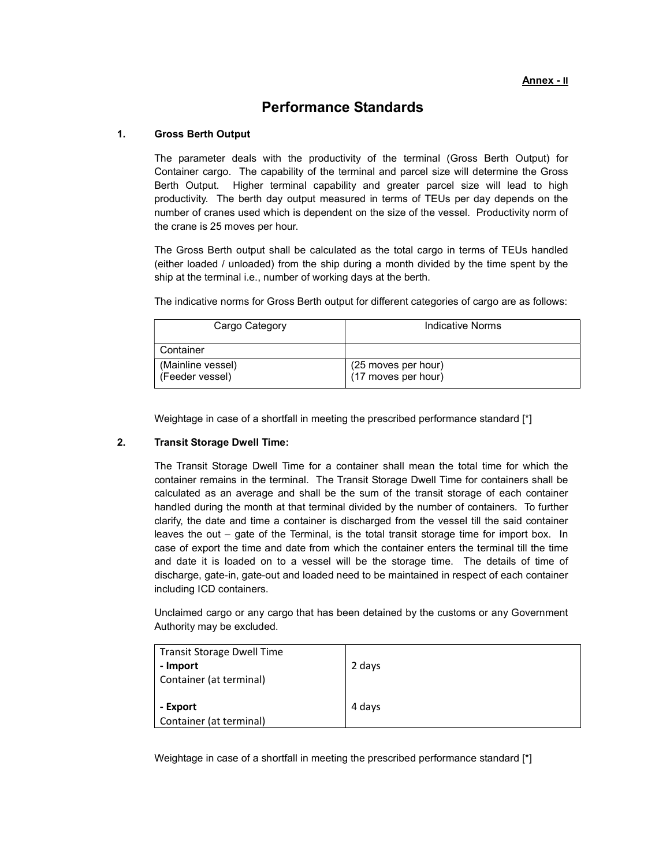# Performance Standards

#### 1. Gross Berth Output

The parameter deals with the productivity of the terminal (Gross Berth Output) for Container cargo. The capability of the terminal and parcel size will determine the Gross Berth Output. Higher terminal capability and greater parcel size will lead to high productivity. The berth day output measured in terms of TEUs per day depends on the number of cranes used which is dependent on the size of the vessel. Productivity norm of the crane is 25 moves per hour.

The Gross Berth output shall be calculated as the total cargo in terms of TEUs handled (either loaded / unloaded) from the ship during a month divided by the time spent by the ship at the terminal i.e., number of working days at the berth.

The indicative norms for Gross Berth output for different categories of cargo are as follows:

| Cargo Category                       | Indicative Norms                           |  |
|--------------------------------------|--------------------------------------------|--|
| Container                            |                                            |  |
| (Mainline vessel)<br>(Feeder vessel) | (25 moves per hour)<br>(17 moves per hour) |  |

Weightage in case of a shortfall in meeting the prescribed performance standard [\*]

#### 2. Transit Storage Dwell Time:

The Transit Storage Dwell Time for a container shall mean the total time for which the container remains in the terminal. The Transit Storage Dwell Time for containers shall be calculated as an average and shall be the sum of the transit storage of each container handled during the month at that terminal divided by the number of containers. To further clarify, the date and time a container is discharged from the vessel till the said container leaves the out – gate of the Terminal, is the total transit storage time for import box. In case of export the time and date from which the container enters the terminal till the time and date it is loaded on to a vessel will be the storage time. The details of time of discharge, gate-in, gate-out and loaded need to be maintained in respect of each container including ICD containers.

Unclaimed cargo or any cargo that has been detained by the customs or any Government Authority may be excluded.

| <b>Transit Storage Dwell Time</b> |        |
|-----------------------------------|--------|
| - Import                          | 2 days |
| Container (at terminal)           |        |
|                                   |        |
| - Export                          | 4 days |
| Container (at terminal)           |        |

Weightage in case of a shortfall in meeting the prescribed performance standard [\*]